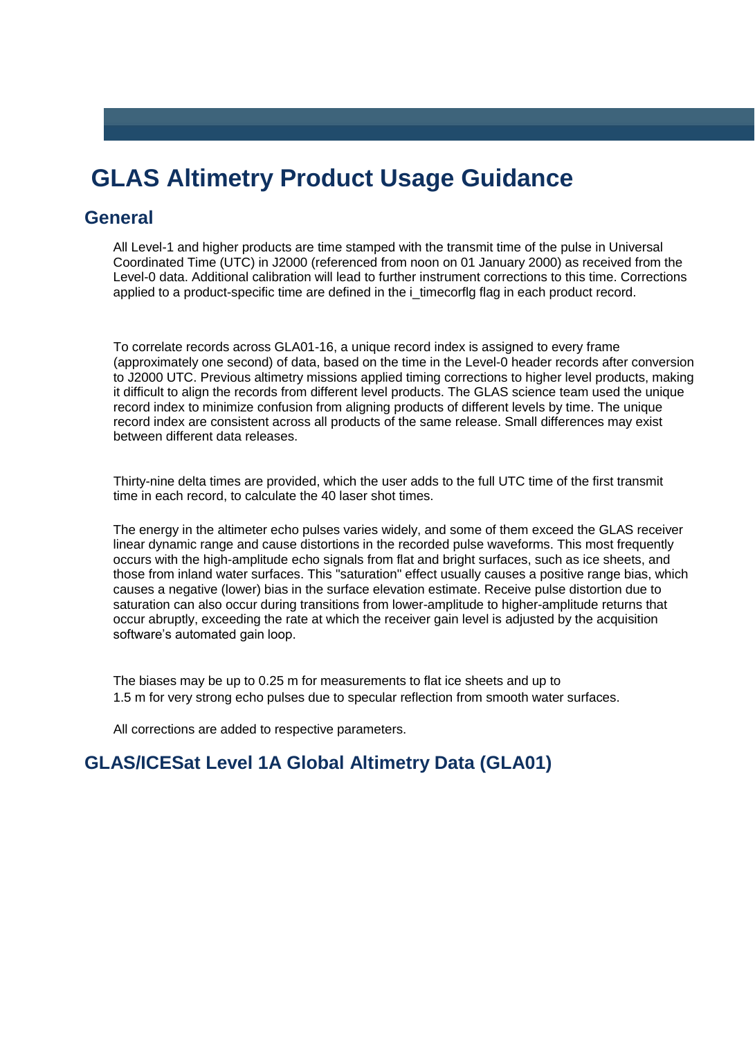# **GLAS Altimetry Product Usage Guidance**

# **General**

All Level-1 and higher products are time stamped with the transmit time of the pulse in Universal Coordinated Time (UTC) in J2000 (referenced from noon on 01 January 2000) as received from the Level-0 data. Additional calibration will lead to further instrument corrections to this time. Corrections applied to a product-specific time are defined in the i timecorflg flag in each product record.

To correlate records across GLA01-16, a unique record index is assigned to every frame (approximately one second) of data, based on the time in the Level-0 header records after conversion to J2000 UTC. Previous altimetry missions applied timing corrections to higher level products, making it difficult to align the records from different level products. The GLAS science team used the unique record index to minimize confusion from aligning products of different levels by time. The unique record index are consistent across all products of the same release. Small differences may exist between different data releases.

Thirty-nine delta times are provided, which the user adds to the full UTC time of the first transmit time in each record, to calculate the 40 laser shot times.

The energy in the altimeter echo pulses varies widely, and some of them exceed the GLAS receiver linear dynamic range and cause distortions in the recorded pulse waveforms. This most frequently occurs with the high-amplitude echo signals from flat and bright surfaces, such as ice sheets, and those from inland water surfaces. This "saturation" effect usually causes a positive range bias, which causes a negative (lower) bias in the surface elevation estimate. Receive pulse distortion due to saturation can also occur during transitions from lower-amplitude to higher-amplitude returns that occur abruptly, exceeding the rate at which the receiver gain level is adjusted by the acquisition software's automated gain loop.

The biases may be up to 0.25 m for measurements to flat ice sheets and up to 1.5 m for very strong echo pulses due to specular reflection from smooth water surfaces.

All corrections are added to respective parameters.

# **GLAS/ICESat Level 1A Global Altimetry Data (GLA01)**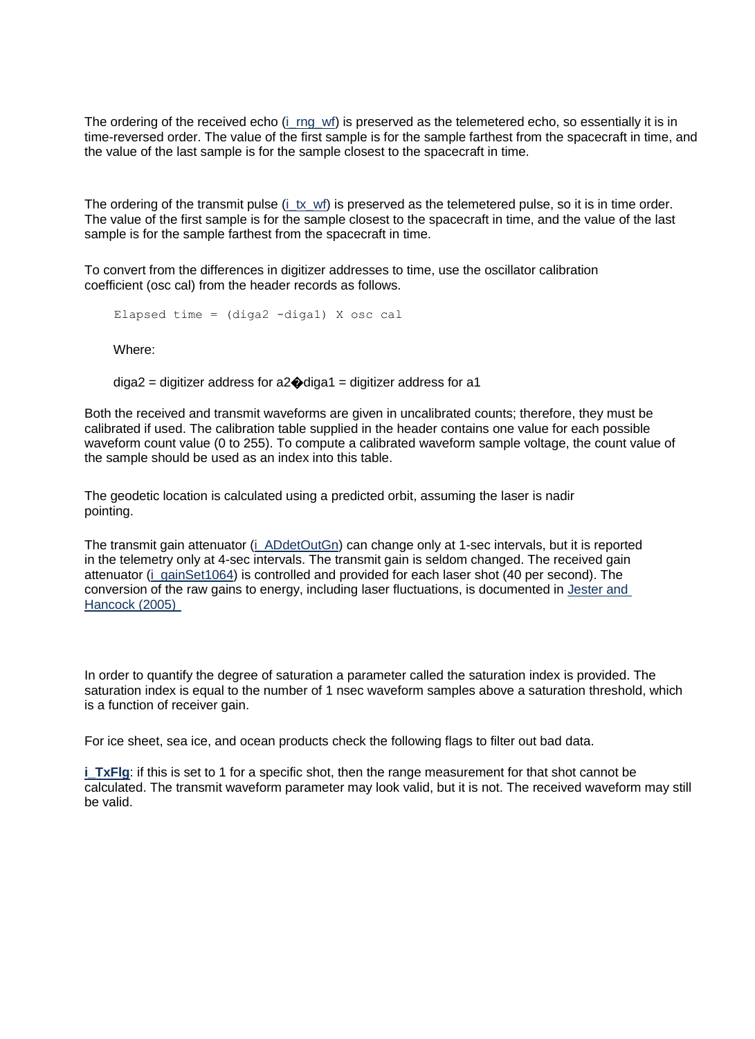The ordering of the received echo (i\_rng\_wf) is preserved as the telemetered echo, so essentially it is in time-reversed order. The value of the first sample is for the sample farthest from the spacecraft in time, and the value of the last sample is for the sample closest to the spacecraft in time.

The ordering of the transmit pulse (i\_tx\_wf) is preserved as the telemetered pulse, so it is in time order. The value of the first sample is for the sample closest to the spacecraft in time, and the value of the last sample is for the sample farthest from the spacecraft in time.

To convert from the differences in digitizer addresses to time, use the oscillator calibration coefficient (osc cal) from the header records as follows.

Elapsed time = (diga2 -diga1) X osc cal

Where:

 $diga2 =$  digitizer address for a  $2 \cdot \text{diag} =$  digitizer address for a 1

Both the received and transmit waveforms are given in uncalibrated counts; therefore, they must be calibrated if used. The calibration table supplied in the header contains one value for each possible waveform count value (0 to 255). To compute a calibrated waveform sample voltage, the count value of the sample should be used as an index into this table.

The geodetic location is calculated using a predicted orbit, assuming the laser is nadir pointing.

The transmit gain attenuator (i\_ADdetOutGn) can change only at 1-sec intervals, but it is reported in the telemetry only at 4-sec intervals. The transmit gain is seldom changed. The received gain attenuator (i\_gainSet1064) is controlled and provided for each laser shot (40 per second). The conversion of the raw gains to energy, including laser fluctuations, is documented in Jester and Hancock (2005)

In order to quantify the degree of saturation a parameter called the saturation index is provided. The saturation index is equal to the number of 1 nsec waveform samples above a saturation threshold, which is a function of receiver gain.

For ice sheet, sea ice, and ocean products check the following flags to filter out bad data.

**i** TxFlg: if this is set to 1 for a specific shot, then the range measurement for that shot cannot be calculated. The transmit waveform parameter may look valid, but it is not. The received waveform may still be valid.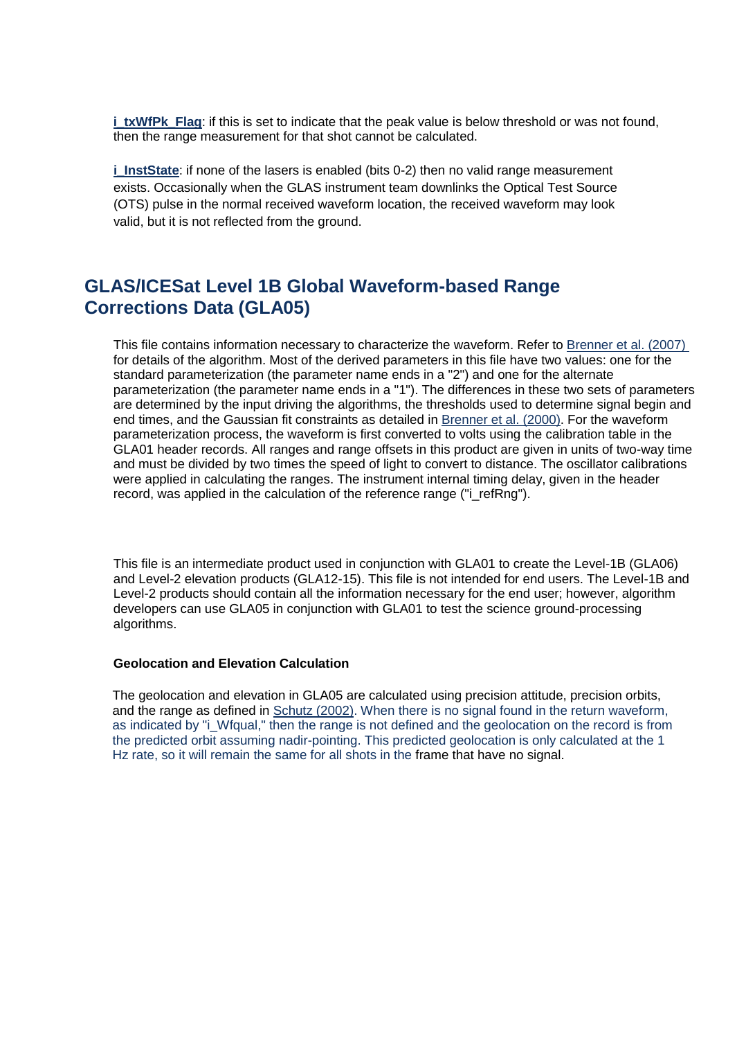**i** txWfPk, Flag: if this is set to indicate that the peak value is below threshold or was not found, then the range measurement for that shot cannot be calculated.

**i** InstState: if none of the lasers is enabled (bits 0-2) then no valid range measurement exists. Occasionally when the GLAS instrument team downlinks the Optical Test Source (OTS) pulse in the normal received waveform location, the received waveform may look valid, but it is not reflected from the ground.

# **GLAS/ICESat Level 1B Global Waveform-based Range Corrections Data (GLA05)**

This file contains information necessary to characterize the waveform. Refer to Brenner et al. (2007) for details of the algorithm. Most of the derived parameters in this file have two values: one for the standard parameterization (the parameter name ends in a "2") and one for the alternate parameterization (the parameter name ends in a "1"). The differences in these two sets of parameters are determined by the input driving the algorithms, the thresholds used to determine signal begin and end times, and the Gaussian fit constraints as detailed in Brenner et al. (2000). For the waveform parameterization process, the waveform is first converted to volts using the calibration table in the GLA01 header records. All ranges and range offsets in this product are given in units of two-way time and must be divided by two times the speed of light to convert to distance. The oscillator calibrations were applied in calculating the ranges. The instrument internal timing delay, given in the header record, was applied in the calculation of the reference range ("i\_refRng").

This file is an intermediate product used in conjunction with GLA01 to create the Level-1B (GLA06) and Level-2 elevation products (GLA12-15). This file is not intended for end users. The Level-1B and Level-2 products should contain all the information necessary for the end user; however, algorithm developers can use GLA05 in conjunction with GLA01 to test the science ground-processing algorithms.

# **Geolocation and Elevation Calculation**

The geolocation and elevation in GLA05 are calculated using precision attitude, precision orbits, and the range as defined in Schutz (2002). When there is no signal found in the return waveform, as indicated by "i\_Wfqual," then the range is not defined and the geolocation on the record is from the predicted orbit assuming nadir-pointing. This predicted geolocation is only calculated at the 1 Hz rate, so it will remain the same for all shots in the frame that have no signal.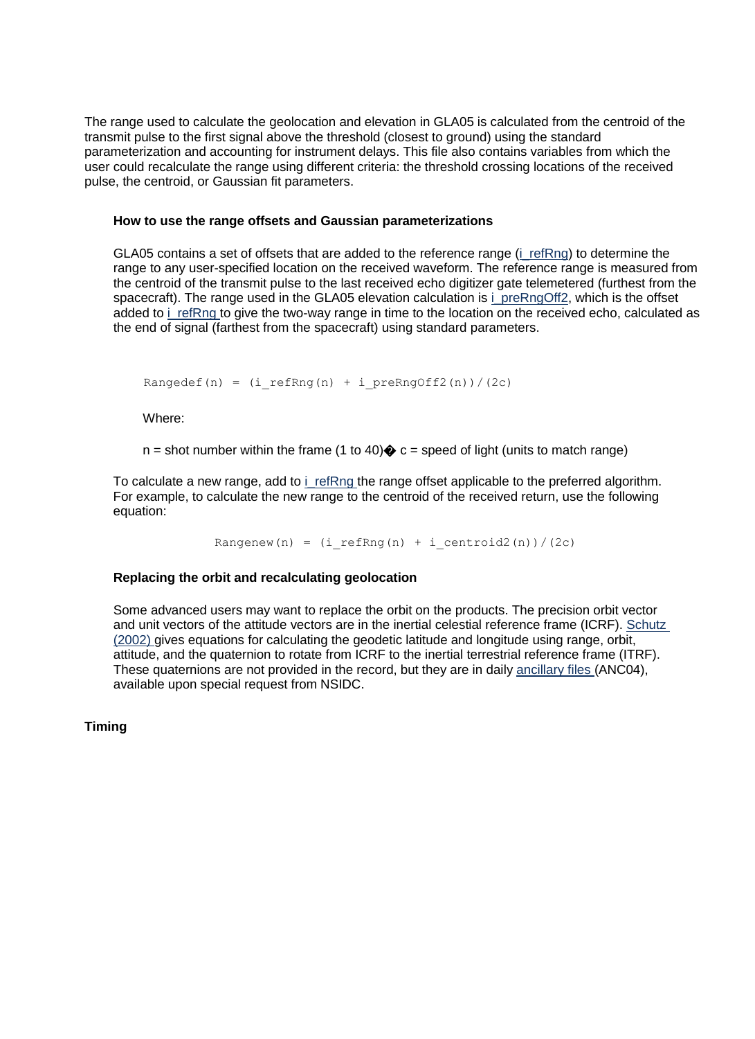The range used to calculate the geolocation and elevation in GLA05 is calculated from the centroid of the transmit pulse to the first signal above the threshold (closest to ground) using the standard parameterization and accounting for instrument delays. This file also contains variables from which the user could recalculate the range using different criteria: the threshold crossing locations of the received pulse, the centroid, or Gaussian fit parameters.

### **How to use the range offsets and Gaussian parameterizations**

GLA05 contains a set of offsets that are added to the reference range (i\_refRng) to determine the range to any user-specified location on the received waveform. The reference range is measured from the centroid of the transmit pulse to the last received echo digitizer gate telemetered (furthest from the spacecraft). The range used in the GLA05 elevation calculation is i\_preRngOff2, which is the offset added to i refRng to give the two-way range in time to the location on the received echo, calculated as the end of signal (farthest from the spacecraft) using standard parameters.

Rangedef(n) =  $(i_r)$  refRng(n) + i preRngOff2(n))/(2c)

Where:

 $n =$  shot number within the frame (1 to 40) $\diamondsuit$  c = speed of light (units to match range)

To calculate a new range, add to i refRng the range offset applicable to the preferred algorithm. For example, to calculate the new range to the centroid of the received return, use the following equation:

Rangenew(n) =  $(i$  refRng(n) + i centroid2(n))/(2c)

# **Replacing the orbit and recalculating geolocation**

Some advanced users may want to replace the orbit on the products. The precision orbit vector and unit vectors of the attitude vectors are in the inertial celestial reference frame (ICRF). Schutz (2002) gives equations for calculating the geodetic latitude and longitude using range, orbit, attitude, and the quaternion to rotate from ICRF to the inertial terrestrial reference frame (ITRF). These quaternions are not provided in the record, but they are in daily ancillary files (ANC04), available upon special request from NSIDC.

**Timing**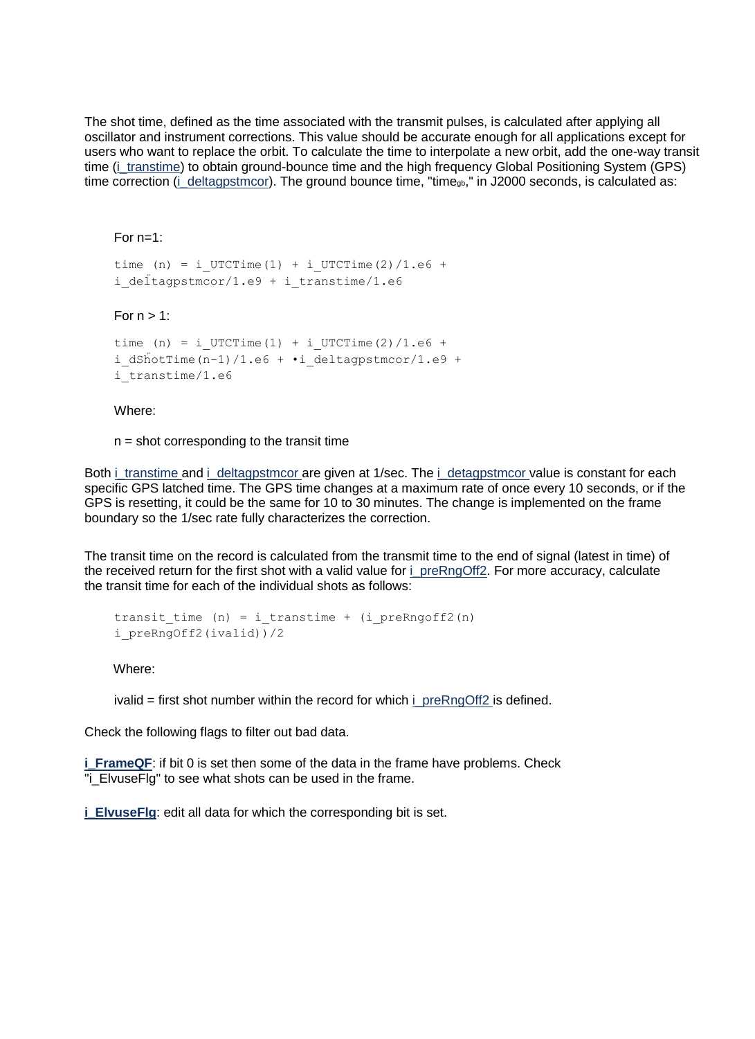The shot time, defined as the time associated with the transmit pulses, is calculated after applying all oscillator and instrument corrections. This value should be accurate enough for all applications except for users who want to replace the orbit. To calculate the time to interpolate a new orbit, add the one-way transit time (i\_transtime) to obtain ground-bounce time and the high frequency Global Positioning System (GPS) time correction (i\_deltagpstmcor). The ground bounce time, "time<sub>gb</sub>," in J2000 seconds, is calculated as:

# For  $n=1$ :

```
time (n) = i UTCTime(1) + i UTCTime(2)/1.e6 +
i deltagpstmcor/1.e9 + i transtime/1.e6
```
# For  $n > 1$ :

```
time (n) = i UTCTime(1) + i UTCTime(2)/1.e6 +
i dShotTime(n-1)/1.e6 + ·i deltagpstmcor/1.e9 +
i transtime/1.e6
```
#### Where:

 $n =$  shot corresponding to the transit time

Both i\_transtime and i\_deltagpstmcor are given at 1/sec. The i\_detagpstmcor value is constant for each specific GPS latched time. The GPS time changes at a maximum rate of once every 10 seconds, or if the GPS is resetting, it could be the same for 10 to 30 minutes. The change is implemented on the frame boundary so the 1/sec rate fully characterizes the correction.

The transit time on the record is calculated from the transmit time to the end of signal (latest in time) of the received return for the first shot with a valid value for i\_preRngOff2. For more accuracy, calculate the transit time for each of the individual shots as follows:

```
transit time (n) = i transtime + (i preRngoff2(n)
i_preRngOff2(ivalid))/2
```
Where:

```
iivalid = first shot number within the record for which i preRngOff2 is defined.
```
Check the following flags to filter out bad data.

**i** FrameQF: if bit 0 is set then some of the data in the frame have problems. Check "i\_ElvuseFlg" to see what shots can be used in the frame.

**i\_ElvuseFlg**: edit all data for which the corresponding bit is set.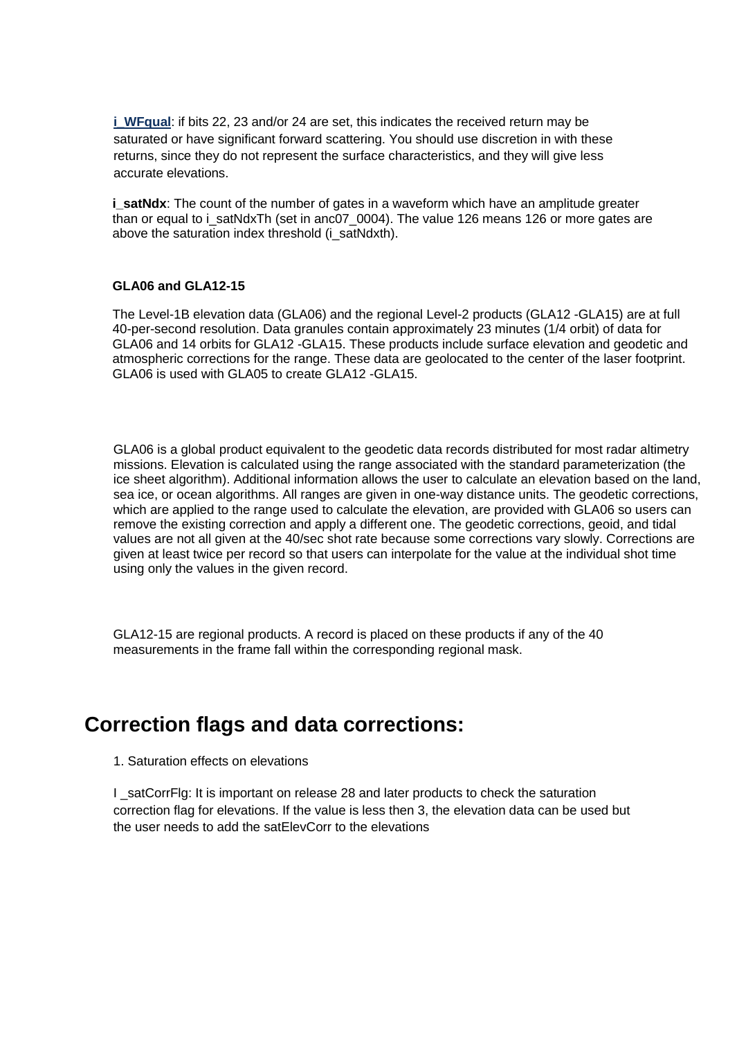**i** WFqual: if bits 22, 23 and/or 24 are set, this indicates the received return may be saturated or have significant forward scattering. You should use discretion in with these returns, since they do not represent the surface characteristics, and they will give less accurate elevations.

**i** satNdx: The count of the number of gates in a waveform which have an amplitude greater than or equal to i\_satNdxTh (set in anc07\_0004). The value 126 means 126 or more gates are above the saturation index threshold (i\_satNdxth).

#### **GLA06 and GLA12-15**

The Level-1B elevation data (GLA06) and the regional Level-2 products (GLA12 -GLA15) are at full 40-per-second resolution. Data granules contain approximately 23 minutes (1/4 orbit) of data for GLA06 and 14 orbits for GLA12 -GLA15. These products include surface elevation and geodetic and atmospheric corrections for the range. These data are geolocated to the center of the laser footprint. GLA06 is used with GLA05 to create GLA12 -GLA15.

GLA06 is a global product equivalent to the geodetic data records distributed for most radar altimetry missions. Elevation is calculated using the range associated with the standard parameterization (the ice sheet algorithm). Additional information allows the user to calculate an elevation based on the land, sea ice, or ocean algorithms. All ranges are given in one-way distance units. The geodetic corrections, which are applied to the range used to calculate the elevation, are provided with GLA06 so users can remove the existing correction and apply a different one. The geodetic corrections, geoid, and tidal values are not all given at the 40/sec shot rate because some corrections vary slowly. Corrections are given at least twice per record so that users can interpolate for the value at the individual shot time using only the values in the given record.

GLA12-15 are regional products. A record is placed on these products if any of the 40 measurements in the frame fall within the corresponding regional mask.

# **Correction flags and data corrections:**

1. Saturation effects on elevations

I satCorrFlg: It is important on release 28 and later products to check the saturation correction flag for elevations. If the value is less then 3, the elevation data can be used but the user needs to add the satElevCorr to the elevations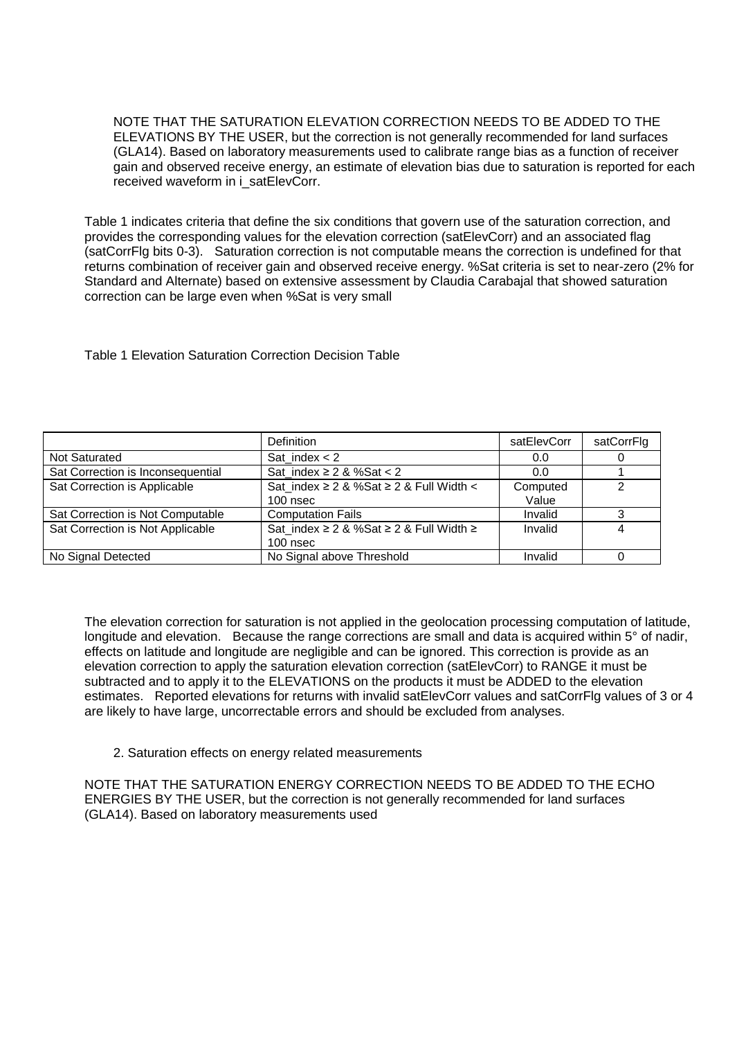NOTE THAT THE SATURATION ELEVATION CORRECTION NEEDS TO BE ADDED TO THE ELEVATIONS BY THE USER, but the correction is not generally recommended for land surfaces (GLA14). Based on laboratory measurements used to calibrate range bias as a function of receiver gain and observed receive energy, an estimate of elevation bias due to saturation is reported for each received waveform in i\_satElevCorr.

Table 1 indicates criteria that define the six conditions that govern use of the saturation correction, and provides the corresponding values for the elevation correction (satElevCorr) and an associated flag (satCorrFlg bits 0-3). Saturation correction is not computable means the correction is undefined for that returns combination of receiver gain and observed receive energy. %Sat criteria is set to near-zero (2% for Standard and Alternate) based on extensive assessment by Claudia Carabajal that showed saturation correction can be large even when %Sat is very small

Table 1 Elevation Saturation Correction Decision Table

|                                   | <b>Definition</b>                           | satElevCorr | satCorrFlg |
|-----------------------------------|---------------------------------------------|-------------|------------|
| Not Saturated                     | Sat index $<$ 2                             | 0.0         |            |
| Sat Correction is Inconsequential | Sat index $\geq 2$ & %Sat < 2               | 0.0         |            |
| Sat Correction is Applicable      | Sat index $≥$ 2 & %Sat $≥$ 2 & Full Width < | Computed    | າ          |
|                                   | $100$ nsec                                  | Value       |            |
| Sat Correction is Not Computable  | <b>Computation Fails</b>                    | Invalid     |            |
| Sat Correction is Not Applicable  | Sat_index ≥ 2 & %Sat ≥ 2 & Full Width ≥     | Invalid     | 4          |
|                                   | $100$ nsec                                  |             |            |
| No Signal Detected                | No Signal above Threshold                   | Invalid     |            |

The elevation correction for saturation is not applied in the geolocation processing computation of latitude, longitude and elevation. Because the range corrections are small and data is acquired within 5° of nadir, effects on latitude and longitude are negligible and can be ignored. This correction is provide as an elevation correction to apply the saturation elevation correction (satElevCorr) to RANGE it must be subtracted and to apply it to the ELEVATIONS on the products it must be ADDED to the elevation estimates. Reported elevations for returns with invalid satElevCorr values and satCorrFlg values of 3 or 4 are likely to have large, uncorrectable errors and should be excluded from analyses.

# 2. Saturation effects on energy related measurements

NOTE THAT THE SATURATION ENERGY CORRECTION NEEDS TO BE ADDED TO THE ECHO ENERGIES BY THE USER, but the correction is not generally recommended for land surfaces (GLA14). Based on laboratory measurements used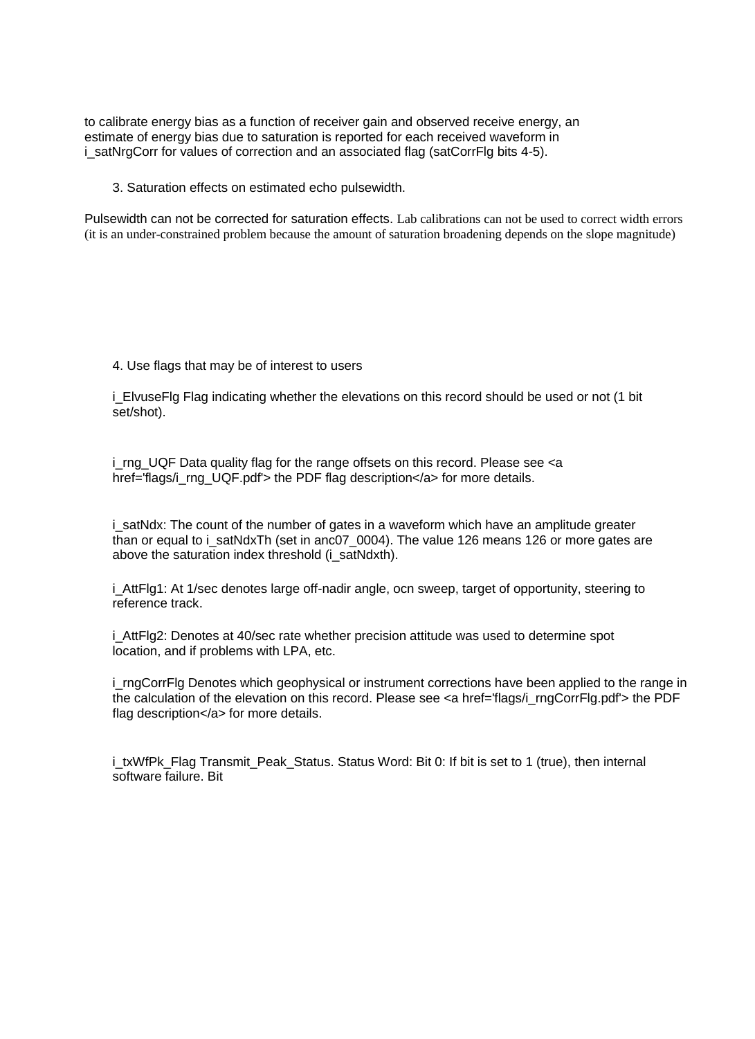to calibrate energy bias as a function of receiver gain and observed receive energy, an estimate of energy bias due to saturation is reported for each received waveform in i satNrgCorr for values of correction and an associated flag (satCorrFlg bits 4-5).

3. Saturation effects on estimated echo pulsewidth.

Pulsewidth can not be corrected for saturation effects. Lab calibrations can not be used to correct width errors (it is an under-constrained problem because the amount of saturation broadening depends on the slope magnitude)

4. Use flags that may be of interest to users

i\_ElvuseFlg Flag indicating whether the elevations on this record should be used or not (1 bit set/shot).

i\_rng\_UQF Data quality flag for the range offsets on this record. Please see <a href='flags/i\_rng\_UQF.pdf'> the PDF flag description</a> for more details.

i satNdx: The count of the number of gates in a waveform which have an amplitude greater than or equal to i\_satNdxTh (set in anc07\_0004). The value 126 means 126 or more gates are above the saturation index threshold (i\_satNdxth).

i AttFlg1: At 1/sec denotes large off-nadir angle, ocn sweep, target of opportunity, steering to reference track.

i\_AttFlg2: Denotes at 40/sec rate whether precision attitude was used to determine spot location, and if problems with LPA, etc.

i rngCorrFlg Denotes which geophysical or instrument corrections have been applied to the range in the calculation of the elevation on this record. Please see  $\leq$  a href='flags/i\_rngCorrFlg.pdf'> the PDF flag description</a> for more details.

i\_txWfPk\_Flag Transmit\_Peak\_Status. Status Word: Bit 0: If bit is set to 1 (true), then internal software failure. Bit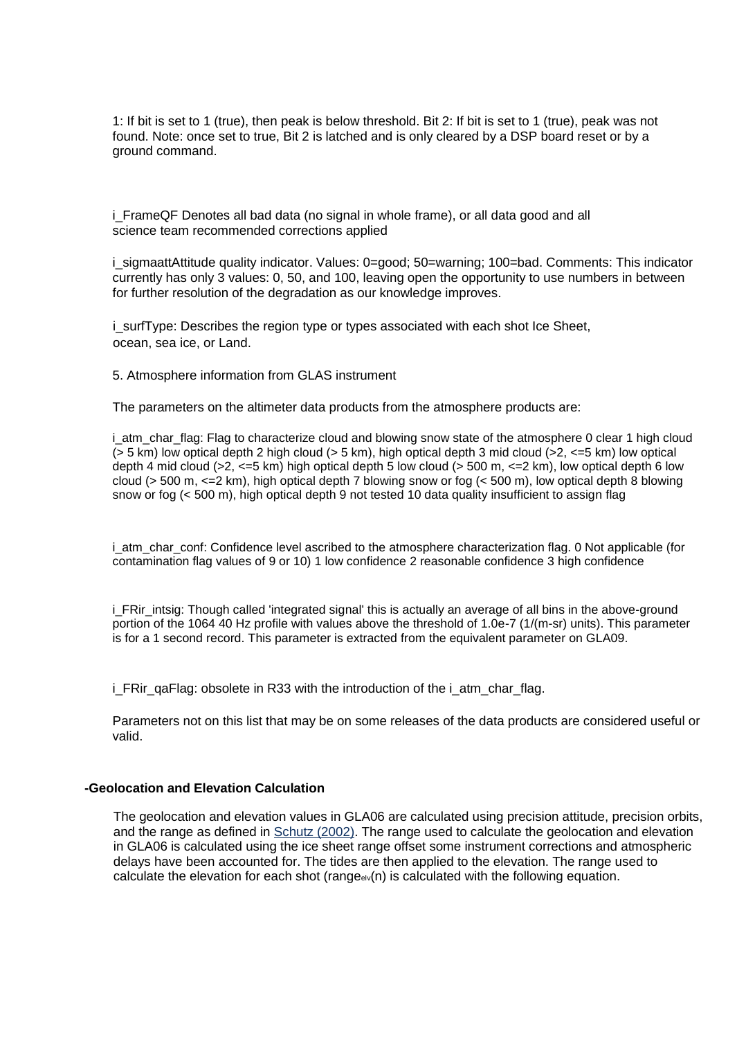1: If bit is set to 1 (true), then peak is below threshold. Bit 2: If bit is set to 1 (true), peak was not found. Note: once set to true, Bit 2 is latched and is only cleared by a DSP board reset or by a ground command.

i FrameQF Denotes all bad data (no signal in whole frame), or all data good and all science team recommended corrections applied

i sigmaattAttitude quality indicator. Values: 0=good; 50=warning; 100=bad. Comments: This indicator currently has only 3 values: 0, 50, and 100, leaving open the opportunity to use numbers in between for further resolution of the degradation as our knowledge improves.

i\_surfType: Describes the region type or types associated with each shot Ice Sheet, ocean, sea ice, or Land.

5. Atmosphere information from GLAS instrument

The parameters on the altimeter data products from the atmosphere products are:

i\_atm\_char\_flag: Flag to characterize cloud and blowing snow state of the atmosphere 0 clear 1 high cloud  $(> 5 \text{ km})$  low optical depth 2 high cloud  $(> 5 \text{ km})$ , high optical depth 3 mid cloud  $(> 2, <= 5 \text{ km})$  low optical depth 4 mid cloud (>2,  $\leq$ =5 km) high optical depth 5 low cloud (> 500 m,  $\leq$  2 km), low optical depth 6 low cloud (> 500 m, <=2 km), high optical depth 7 blowing snow or fog (< 500 m), low optical depth 8 blowing snow or fog (< 500 m), high optical depth 9 not tested 10 data quality insufficient to assign flag

i atm char conf: Confidence level ascribed to the atmosphere characterization flag. 0 Not applicable (for contamination flag values of 9 or 10) 1 low confidence 2 reasonable confidence 3 high confidence

i\_FRir\_intsig: Though called 'integrated signal' this is actually an average of all bins in the above-ground portion of the 1064 40 Hz profile with values above the threshold of 1.0e-7 (1/(m-sr) units). This parameter is for a 1 second record. This parameter is extracted from the equivalent parameter on GLA09.

i FRir\_gaFlag: obsolete in R33 with the introduction of the i\_atm\_char\_flag.

Parameters not on this list that may be on some releases of the data products are considered useful or valid.

#### **-Geolocation and Elevation Calculation**

The geolocation and elevation values in GLA06 are calculated using precision attitude, precision orbits, and the range as defined in Schutz (2002). The range used to calculate the geolocation and elevation in GLA06 is calculated using the ice sheet range offset some instrument corrections and atmospheric delays have been accounted for. The tides are then applied to the elevation. The range used to calculate the elevation for each shot (range $eV(n)$  is calculated with the following equation.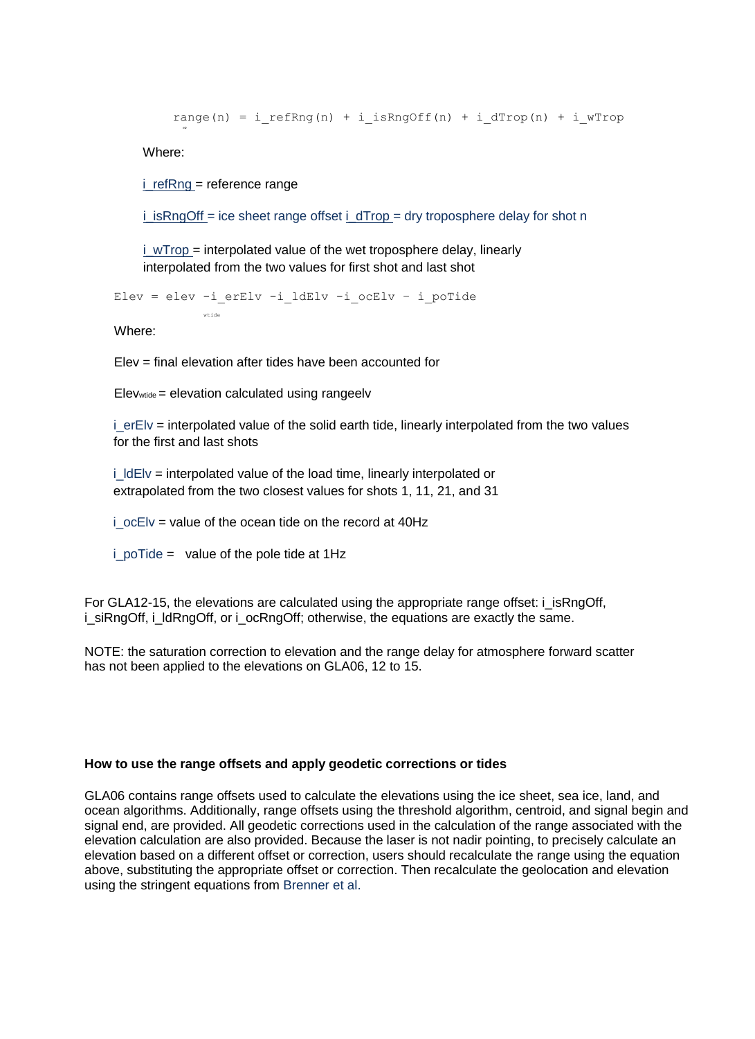range(n) = i refRng(n) + i isRngOff(n) + i dTrop(n) + i wTrop

Where:

elv

 $i$  refRng = reference range

wtide

 $i$  isRngOff = ice sheet range offset  $i$  dTrop = dry troposphere delay for shot n

 $i$  wTrop = interpolated value of the wet troposphere delay, linearly interpolated from the two values for first shot and last shot

Elev = elev -i erElv -i ldElv -i ocElv - i poTide

Where:

Elev = final elevation after tides have been accounted for

 $E$ levwtide = elevation calculated using rangeelv

i erEly = interpolated value of the solid earth tide, linearly interpolated from the two values for the first and last shots

 $i$   $ldE$  = interpolated value of the load time, linearly interpolated or extrapolated from the two closest values for shots 1, 11, 21, and 31

 $i$  ocElv = value of the ocean tide on the record at 40Hz

 $i$  poTide = value of the pole tide at 1Hz

For GLA12-15, the elevations are calculated using the appropriate range offset: i\_isRngOff, i\_siRngOff, i\_ldRngOff, or i\_ocRngOff; otherwise, the equations are exactly the same.

NOTE: the saturation correction to elevation and the range delay for atmosphere forward scatter has not been applied to the elevations on GLA06, 12 to 15.

# **How to use the range offsets and apply geodetic corrections or tides**

GLA06 contains range offsets used to calculate the elevations using the ice sheet, sea ice, land, and ocean algorithms. Additionally, range offsets using the threshold algorithm, centroid, and signal begin and signal end, are provided. All geodetic corrections used in the calculation of the range associated with the elevation calculation are also provided. Because the laser is not nadir pointing, to precisely calculate an elevation based on a different offset or correction, users should recalculate the range using the equation above, substituting the appropriate offset or correction. Then recalculate the geolocation and elevation using the stringent equations from Brenner et al.